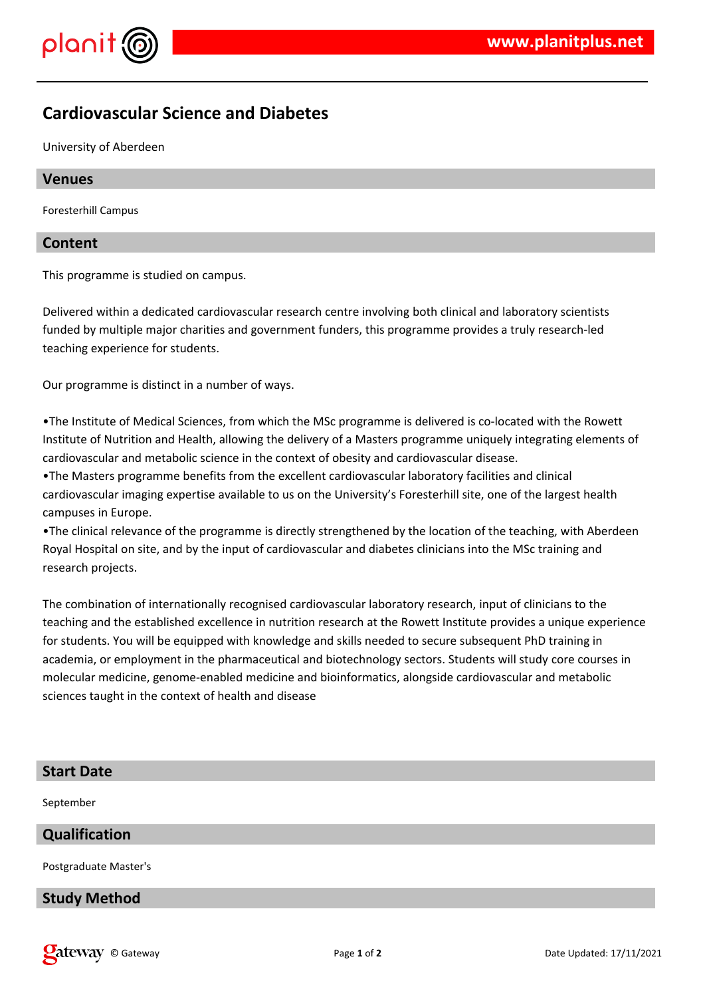



# **Cardiovascular Science and Diabetes**

University of Aberdeen

#### **Venues**

Foresterhill Campus

#### **Content**

This programme is studied on campus.

Delivered within a dedicated cardiovascular research centre involving both clinical and laboratory scientists funded by multiple major charities and government funders, this programme provides a truly research-led teaching experience for students.

Our programme is distinct in a number of ways.

•The Institute of Medical Sciences, from which the MSc programme is delivered is co-located with the Rowett Institute of Nutrition and Health, allowing the delivery of a Masters programme uniquely integrating elements of cardiovascular and metabolic science in the context of obesity and cardiovascular disease.

•The Masters programme benefits from the excellent cardiovascular laboratory facilities and clinical cardiovascular imaging expertise available to us on the University's Foresterhill site, one of the largest health campuses in Europe.

•The clinical relevance of the programme is directly strengthened by the location of the teaching, with Aberdeen Royal Hospital on site, and by the input of cardiovascular and diabetes clinicians into the MSc training and research projects.

The combination of internationally recognised cardiovascular laboratory research, input of clinicians to the teaching and the established excellence in nutrition research at the Rowett Institute provides a unique experience for students. You will be equipped with knowledge and skills needed to secure subsequent PhD training in academia, or employment in the pharmaceutical and biotechnology sectors. Students will study core courses in molecular medicine, genome-enabled medicine and bioinformatics, alongside cardiovascular and metabolic sciences taught in the context of health and disease

#### **Start Date**

September

## **Qualification**

Postgraduate Master's

#### **Study Method**